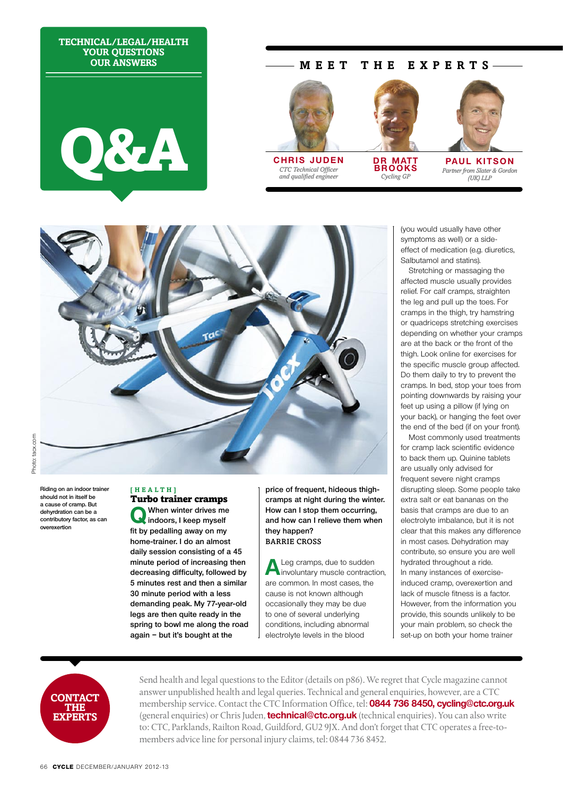**Technical/Legal/Health Your questions Our answers**



# **M EET T H E E X P E R T S**



*CTC Technical Officer and qualified engineer* 



**DR MATT brooks** *Cycling GP*



**paul kitson** *Partner from Slater & Gordon (UK) LLP*

(you would usually have other symptoms as well) or a sideeffect of medication (e.g. diuretics, Salbutamol and statins).

Stretching or massaging the affected muscle usually provides relief. For calf cramps, straighten the leg and pull up the toes. For cramps in the thigh, try hamstring or quadriceps stretching exercises depending on whether your cramps are at the back or the front of the thigh. Look online for exercises for the specific muscle group affected. Do them daily to try to prevent the cramps. In bed, stop your toes from pointing downwards by raising your feet up using a pillow (if lying on your back), or hanging the feet over the end of the bed (if on your front).

Most commonly used treatments for cramp lack scientific evidence to back them up. Quinine tablets are usually only advised for frequent severe night cramps disrupting sleep. Some people take extra salt or eat bananas on the basis that cramps are due to an electrolyte imbalance, but it is not clear that this makes any difference in most cases. Dehydration may contribute, so ensure you are well hydrated throughout a ride. In many instances of exerciseinduced cramp, overexertion and lack of muscle fitness is a factor. However, from the information you provide, this sounds unlikely to be your main problem, so check the set-up on both your home trainer



**Riding on an indoor trainer should not in itself be a cause of cramp. But dehyrdration can be a contributory factor, as can overexertion**

#### **[ H e a l t h ]**  Turbo trainer cramps

**Q When winter drives me indoors, I keep myself fit by pedalling away on my home-trainer. I do an almost daily session consisting of a 45 minute period of increasing then decreasing difficulty, followed by 5 minutes rest and then a similar 30 minute period with a less demanding peak. My 77-year-old legs are then quite ready in the spring to bowl me along the road again – but it's bought at the** 

**price of frequent, hideous thighcramps at night during the winter. How can I stop them occurring, and how can I relieve them when they happen?** Barrie Cross

A Leg cramps, due to sudden<br>involuntary muscle contraction, are common. In most cases, the cause is not known although occasionally they may be due to one of several underlying conditions, including abnormal electrolyte levels in the blood



Send health and legal questions to the Editor (details on p86). We regret that Cycle magazine cannot answer unpublished health and legal queries. Technical and general enquiries, however, are a CTC membership service. Contact the CTC Information Office, tel: **0844 736 8450, cycling@ctc.org.uk** (general enquiries) or Chris Juden, **technical@ctc.org.uk** (technical enquiries). You can also write to: CTC, Parklands, Railton Road, Guildford, GU2 9JX. And don't forget that CTC operates a free-tomembers advice line for personal injury claims, tel: 0844 736 8452.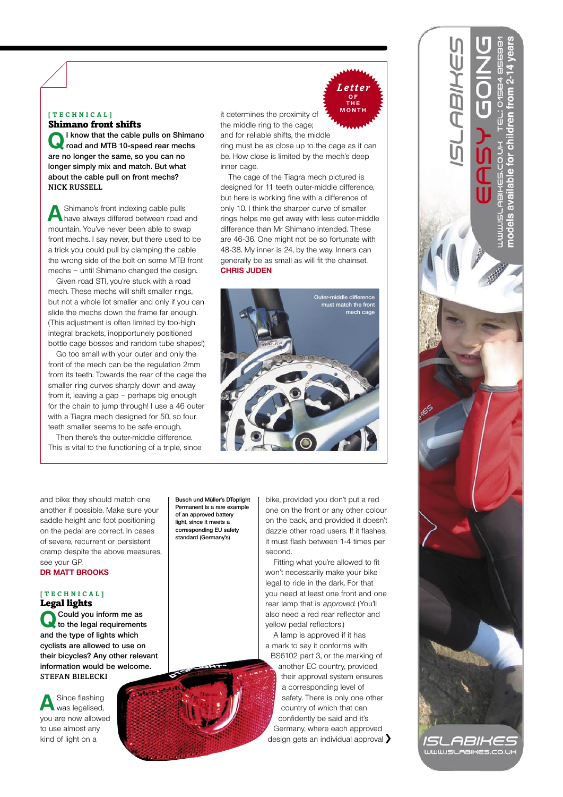#### **[tec h nical]**

Shimano front shifts

**QI know that the cable pulls on Shimano road and MTB 10-speed rear mechs are no longer the same, so you can no longer simply mix and match. But what about the cable pull on front mechs?**  Nick Russell

**A** Shimano's front indexing cable pulls<br>have always differed between road and mountain. You've never been able to swap front mechs. I say never, but there used to be a trick you could pull by clamping the cable the wrong side of the bolt on some MTB front mechs – until Shimano changed the design.

Given road STI, you're stuck with a road mech. These mechs will shift smaller rings, but not a whole lot smaller and only if you can slide the mechs down the frame far enough. (This adjustment is often limited by too-high integral brackets, inopportunely positioned bottle cage bosses and random tube shapes!)

Go too small with your outer and only the front of the mech can be the regulation 2mm from its teeth. Towards the rear of the cage the smaller ring curves sharply down and away from it, leaving a gap – perhaps big enough for the chain to jump through! I use a 46 outer with a Tiagra mech designed for 50, so four teeth smaller seems to be safe enough.

Then there's the outer-middle difference. This is vital to the functioning of a triple, since it determines the proximity of the middle ring to the cage; and for reliable shifts, the middle ring must be as close up to the cage as it can be. How close is limited by the mech's deep

inner cage. The cage of the Tiagra mech pictured is designed for 11 teeth outer-middle difference, but here is working fine with a difference of only 10. I think the sharper curve of smaller rings helps me get away with less outer-middle difference than Mr Shimano intended. These are 46-36. One might not be so fortunate with 48-38. My inner is 24, by the way. Inners can generally be as small as will fit the chainset. **Chris Juden**

*Letter* **o f MONTH** 



and bike: they should match one another if possible. Make sure your saddle height and foot positioning on the pedal are correct. In cases of severe, recurrent or persistent cramp despite the above measures, see your GP.

## **Dr Matt Brooks**

#### **[ T e c h n i c a l ]**  Legal lights

**Q Could you inform me as to the legal requirements and the type of lights which cyclists are allowed to use on their bicycles? Any other relevant information would be welcome.** Stefan Bielecki

A Since flashing<br>was legalised, you are now allowed to use almost any kind of light on a

**Busch und Müller's DToplight Permanent is a rare example of an approved battery light, since it meets a corresponding EU safety standard (Germany's)**

bike, provided you don't put a red one on the front or any other colour on the back, and provided it doesn't dazzle other road users. If it flashes, it must flash between 1-4 times per second.

Fitting what you're allowed to fit won't necessarily make your bike legal to ride in the dark. For that you need at least one front and one rear lamp that is approved. (You'll also need a red rear reflector and yellow pedal reflectors.)

A lamp is approved if it has a mark to say it conforms with BS6102 part 3, or the marking of another EC country, provided their approval system ensures a corresponding level of safety. There is only one other country of which that can confidently be said and it's Germany, where each approved design gets an individual approval >